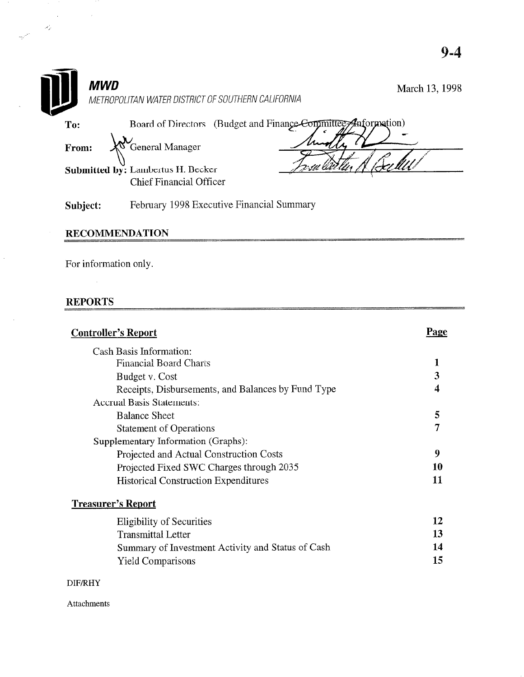|              | MWD<br>METROPOLITAN WATER DISTRICT OF SOUTHERN CALIFORNIA                        | March 13, 1998 |
|--------------|----------------------------------------------------------------------------------|----------------|
| To:<br>From: | Board of Directors (Budget and Finance Committee Anformation)<br>General Manager |                |
|              | Submitted by: Lambertus H. Becker<br><b>Chief Financial Officer</b>              |                |
| Subject:     | February 1998 Executive Financial Summary                                        |                |

## RECOMMENDATI

For information only.

## REPORTS

 $\mathcal{A}$ 

 $\sim$ 

L,

 $\sim 10$ 

 $\mathcal{L}^{\text{max}}_{\text{max}}$ 

| <b>Controller's Report</b>                         | Page |
|----------------------------------------------------|------|
| Cash Basis Information:                            |      |
| <b>Financial Board Charts</b>                      | 1    |
| Budget v. Cost                                     | 3    |
| Receipts, Disbursements, and Balances by Fund Type | 4    |
| <b>Accrual Basis Statements:</b>                   |      |
| <b>Balance Sheet</b>                               | 5    |
| <b>Statement of Operations</b>                     | 7    |
| Supplementary Information (Graphs):                |      |
| Projected and Actual Construction Costs            | 9    |
| Projected Fixed SWC Charges through 2035           | 10   |
| <b>Historical Construction Expenditures</b>        | 11   |
| <b>Treasurer's Report</b>                          |      |
| <b>Eligibility of Securities</b>                   | 12   |
| <b>Transmittal Letter</b>                          | 13   |
| Summary of Investment Activity and Status of Cash  | 14   |
| <b>Yield Comparisons</b>                           | 15   |
| <b>DIF/RHY</b>                                     |      |

Attachments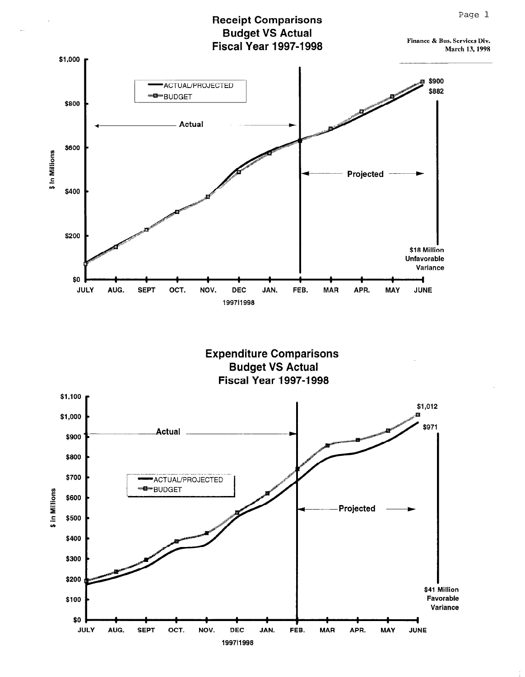### **Receipt Comparisons Budget VS Actual Fiscal Year 1997-1998**

Finance & Bus. Services Div. March 13, 1998



**Expenditure Comparisons Budget VS Actual Fiscal Year 1997-1998** 

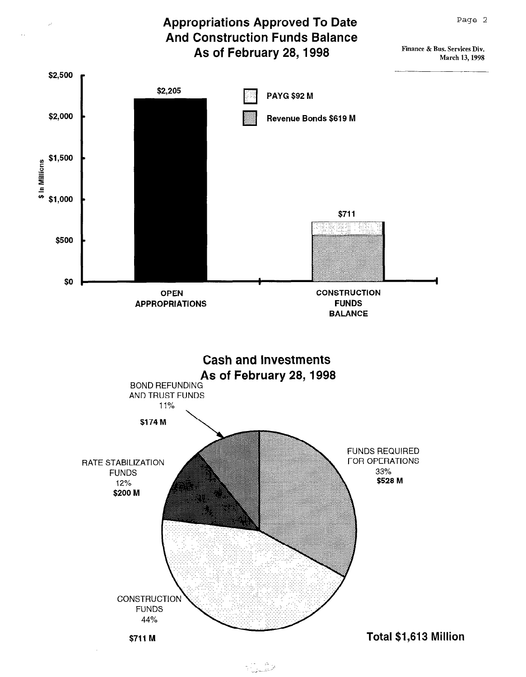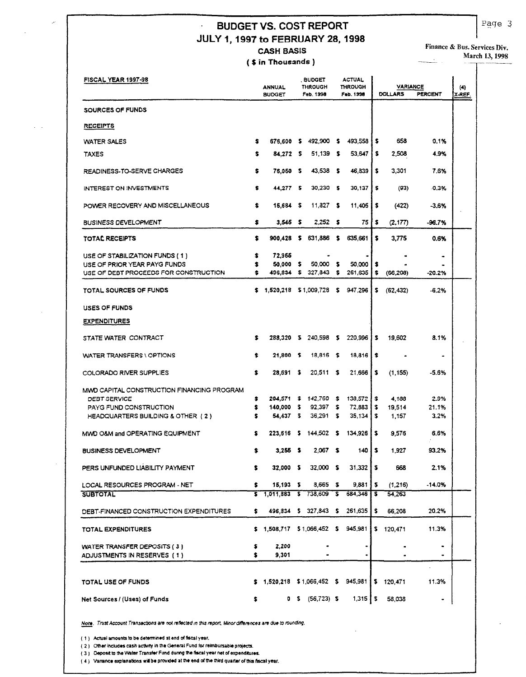#### **BUDGET VS. COST REPORT**  $\ddot{\phantom{a}}$ JULY 1, 1997 to FEBRUARY 28, 1998 **CASH BASIS**

(\$ in Thousands)

Finance & Bus. Services Div.

 $\overline{a}$ 

March 13, 1998  $\overline{\phantom{a}}$ 

| FISCAL YEAR 1997-98                                                   |          | <b>ANNUAL</b><br><b>BUDGET</b>       |             | . BUDGET<br><b>THROUGH</b><br>Feb. 1998 |          | <b>ACTUAL</b><br><b>THROUGH</b><br>Feb. 1998 |          | <b>VARIANCE</b><br><b>DOLLARS</b> | <b>PERCENT</b> | (4)<br>X-REF. |
|-----------------------------------------------------------------------|----------|--------------------------------------|-------------|-----------------------------------------|----------|----------------------------------------------|----------|-----------------------------------|----------------|---------------|
| SOURCES OF FUNDS                                                      |          |                                      |             |                                         |          |                                              |          |                                   |                |               |
| <b>RECEIPTS</b>                                                       |          |                                      |             |                                         |          |                                              |          |                                   |                |               |
| <b>WATER SALES</b>                                                    | s        | 676,600                              | \$          | 492,900 \$                              |          | 493.558                                      | IS.      | 658                               | 0.1%           |               |
| <b>TAXES</b>                                                          | s        | 84,272                               | \$          | 51,139 \$                               |          | 53.647                                       | \$       | 2,508                             | 4.9%           |               |
| READINESS-TO-SERVE CHARGES                                            | \$       | 76,050                               | \$          | $43,538$ \$                             |          | 46,839                                       | s        | 3.301                             | 7.6%           |               |
| INTEREST ON INVESTMENTS                                               | \$       | 44,277 \$                            |             | $30,230$ \$                             |          | 30.137                                       | \$       | (93)                              | $-0.3%$        |               |
| POWER RECOVERY AND MISCELLANEOUS                                      | \$       | 15,684                               | \$          | $11,327$ \$                             |          | 11,405                                       | s        | (422)                             | $-3.6%$        |               |
| <b>BUSINESS DEVELOPMENT</b>                                           | \$       | $3,545$ \$                           |             | $2.252$ \$                              |          | 75                                           | \$       | (2, 177)                          | -96.7%         |               |
| TOTAL RECEIPTS                                                        | \$       | 900.428                              | s           | 631,886                                 | \$       | 635,661                                      | \$       | 3,775                             | 0.6%           |               |
| USE OF STABILIZATION FUNDS (1)                                        | \$       | 72,965                               |             |                                         |          |                                              |          |                                   | ۰              |               |
| USE OF PRIOR YEAR PAYG FUNDS<br>USE OF DEBT PROCEEDS FOR CONSTRUCTION | \$       | 50,000<br>496,834                    | s<br>s.     | 50,000<br>327,843                       | \$<br>\$ | 50,000<br>261,635                            | s<br>\$  |                                   | $-20.2%$       |               |
|                                                                       |          |                                      |             |                                         |          |                                              |          | (66, 208)                         |                |               |
| TOTAL SOURCES OF FUNDS                                                | s.       | 1,520,218 \$1,009,728                |             |                                         | \$       | 947,296                                      | \$       | (62, 432)                         | $-6.2%$        |               |
| USES OF FUNDS                                                         |          |                                      |             |                                         |          |                                              |          |                                   |                |               |
| <b>EXPENDITURES</b>                                                   |          |                                      |             |                                         |          |                                              |          |                                   |                |               |
| STATE WATER CONTRACT                                                  | \$       | 288,320                              | - 5         | 240,598 \$                              |          | 220,996                                      | s        | 19.602                            | 8.1%           |               |
| WATER TRANSFERS \ OPTIONS                                             | \$       | 21,800                               | - 5         | 18,816 \$                               |          | 18,816                                       | s        |                                   | ۰              |               |
| COLORADO RIVER SUPPLIES                                               | \$       | 28,691                               | \$          | 20,511                                  | \$       | 21.666                                       | \$       | (1, 155)                          | $-5.6%$        |               |
| MWD CAPITAL CONSTRUCTION FINANCING PROGRAM                            |          |                                      |             |                                         |          |                                              |          |                                   |                |               |
| DEBT SERVICE                                                          | \$<br>\$ | $204,571$ \$<br>140,000              |             | 142,760 \$<br>$92,397$ \$               |          | 138,572<br>72,883                            | \$<br>\$ | 4.188                             | 2.9%           |               |
| PAYG FUND CONSTRUCTION<br>HEADQUARTERS BUILDING & OTHER (2)           | \$       | 54.437                               | - \$<br>- 5 | 36,291                                  | \$       | 35,134                                       | \$       | 19.514<br>1,157                   | 21.1%<br>3.2%  |               |
| MWD O&M and OPERATING EQUIPMENT                                       | s        | 223,616                              | - 5         | 144,502 \$                              |          | 134,926                                      | s        | 9.576                             | 6.6%           |               |
| <b>BUSINESS DEVELOPMENT</b>                                           |          | 3,255                                |             | $2,067$ \$                              |          | 140                                          | \$       | 1,927                             | 93.2%          |               |
| PERS UNFUNDED LIABILITY PAYMENT                                       | \$.      | 32,000 S                             |             | $32,000$ \$                             |          | 31,332                                       | s        | 668                               | 2.1%           |               |
| LOCAL RESOURCES PROGRAM - NET                                         | \$       | $15,193$ \$                          |             | $3,665$ \$                              |          | 9,881                                        | s        | (1, 216)                          | $-14.0%$       |               |
| <b>SUBTOTAL</b>                                                       |          | $$1.011.883$ $$738,609$ $$$          |             |                                         |          | 684,346                                      | \$       | 54,263                            |                |               |
| DEBT-FINANCED CONSTRUCTION EXPENDITURES                               | \$.      |                                      |             | 496,834 \$ 327,843 \$ 261,635           |          |                                              | \$       | 66,208                            | 20.2%          |               |
| TOTAL EXPENDITURES                                                    |          | $$1,508,717$ $$1,066,452$ \$         |             |                                         |          | 945,981                                      |          | \$ 120,471                        | 11.3%          |               |
| WATER TRANSFER DEPOSITS (3)                                           | \$       | 2,200                                |             |                                         |          |                                              |          |                                   | ٠              |               |
| ADJUSTMENTS IN RESERVES (1)                                           | \$.      | 9,301                                |             | $\blacksquare$                          |          |                                              |          |                                   | ۰              |               |
| TOTAL USE OF FUNDS                                                    |          | $$1,520,218$ $$1,066,452$ $$945,981$ |             |                                         |          |                                              |          | \$ 120,471                        | 11.3%          |               |
| Net Sources / (Uses) of Funds                                         | \$       |                                      |             | $0$ \$ (56,723) \$                      |          | $1,315$   \$                                 |          | 58,038                            | ٠              |               |

Note. Trust Account Transactions are not reflected in this report, Minor differences are due to rounding.

(1) Actual amounts to be determined at end of fiscal year.

(2) Other includes cash activity in the General Fund for reimbursable projects.

(3) Deposit to the Water Transfer Fund during the fiscal year net of expenditures.

(4) Variance explanations will be provided at the end of the third quarter of this fiscal year.

Page 3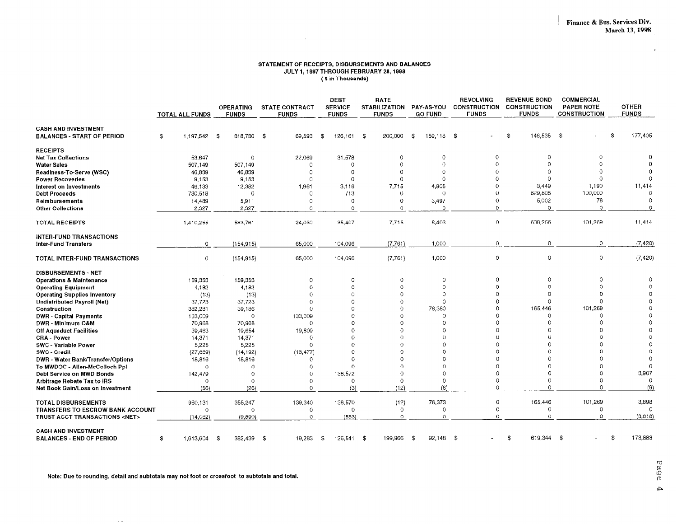$\lambda$ 

#### STATEMENT OF RECEIPTS, DISBURSEMENTS AND BALANCES JULY 1, 1997 THROUGH FEBRUARY 28, 1998 (\$ in Thousands)

 $\sim 10^{-1}$ 

|                                                                 |                        |                                  |                                       | <b>DEBT</b>                    | <b>RATE</b>                          |                                     | <b>REVOLVING</b>                    | <b>REVENUE BOND</b>                 | <b>COMMERCIAL</b>                        |                              |
|-----------------------------------------------------------------|------------------------|----------------------------------|---------------------------------------|--------------------------------|--------------------------------------|-------------------------------------|-------------------------------------|-------------------------------------|------------------------------------------|------------------------------|
|                                                                 | <b>TOTAL ALL FUNDS</b> | <b>OPERATING</b><br><b>FUNDS</b> | <b>STATE CONTRACT</b><br><b>FUNDS</b> | <b>SERVICE</b><br><b>FUNDS</b> | <b>STABILIZATION</b><br><b>FUNDS</b> | <b>PAY-AS-YOU</b><br><b>GO FUND</b> | <b>CONSTRUCTION</b><br><b>FUNDS</b> | <b>CONSTRUCTION</b><br><b>FUNDS</b> | <b>PAPER NOTE</b><br><b>CONSTRUCTION</b> | <b>OTHER</b><br><b>FUNDS</b> |
|                                                                 |                        |                                  |                                       |                                |                                      |                                     |                                     |                                     |                                          |                              |
| <b>CASH AND INVESTMENT</b><br><b>BALANCES - START OF PERIOD</b> | 1.197,542 \$<br>\$     | 318,730                          | -\$<br>69,593                         | \$<br>126,161                  | -S<br>200,000                        | 159,118 \$<br>\$                    |                                     | 146,535 \$<br>\$                    | \$                                       | 177,405                      |
| <b>RECEIPTS</b>                                                 |                        |                                  |                                       |                                |                                      |                                     |                                     |                                     |                                          |                              |
| <b>Net Tax Collections</b>                                      | 53,647                 | $\Omega$                         | 22,069                                | 31,578                         | $\Omega$                             | 0                                   | $\Omega$                            | $\Omega$                            | $\Omega$                                 | 0                            |
| <b>Water Sales</b>                                              | 507,149                | 507,149                          | 0                                     | 0                              | $\Omega$                             | $\Omega$                            | ∩                                   | $\Omega$                            | $\Omega$                                 | $\Omega$                     |
| Readiness-To-Serve (WSC)                                        | 46,839                 | 46,839                           | 0                                     | $\Omega$                       | $\Omega$                             | $\circ$                             | 0                                   | $\Omega$                            |                                          | $^{\circ}$                   |
| <b>Power Recoveries</b>                                         | 9,153                  | 9,153                            | $\Omega$                              | $\Omega$                       | $\Omega$                             | $\Omega$                            |                                     | $\Omega$                            | $\Omega$                                 | $\Omega$                     |
| Interest on Investments                                         | 46,133                 | 12,382                           | 1,961                                 | 3,116                          | 7,715                                | 4,905                               | $\Omega$                            | 3.449                               | 1,190                                    | 11,414                       |
| <b>Debt Proceeds</b>                                            | 730,518                | $\overline{O}$                   | $\circ$                               | 713                            | $\Omega$                             | 0                                   | $\Omega$                            | 629,805                             | 100,000                                  | $\Omega$                     |
| Reimbursements                                                  | 14,489                 | 5,911                            | $\Omega$                              | $\Omega$                       | 0                                    | 3,497                               | $\Omega$                            | 5.002                               | 78                                       | $\circ$                      |
| <b>Other Collections</b>                                        | 2,327                  | 2,327                            | $\Omega$                              | $\Omega$                       | $\circ$                              | $\Omega$                            | $\Omega$                            | $\Omega$                            | $\Omega$                                 | $\circ$                      |
| <b>TOTAL RECEIPTS</b>                                           | 1,410,255              | 583,761                          | 24,030                                | 35,407                         | 7.715                                | 8,403                               | $\Omega$                            | 638,256                             | 101,269                                  | 11,414                       |
| <b>INTER-FUND TRANSACTIONS</b><br><b>Inter-Fund Transfers</b>   | 0                      | (154, 915)                       | 65,000                                | 104,096                        | (7,761)                              | 1,000                               | $\overline{0}$                      | $\circ$                             | $\circ$                                  | (7,420)                      |
| TOTAL INTER-FUND TRANSACTIONS                                   | $\mathsf O$            | (154, 915)                       | 65,000                                | 104,096                        | (7, 761)                             | 1,000                               | $\circ$                             | $\circ$                             | $\circ$                                  | (7, 420)                     |
| <b>DISBURSEMENTS - NET</b>                                      |                        |                                  |                                       |                                |                                      |                                     |                                     |                                     |                                          |                              |
| <b>Operations &amp; Maintenance</b>                             | 159,353                | 159,353                          | $\overline{0}$                        | $\circ$                        | 0                                    | 0                                   | $\Omega$                            | $\circ$                             | $\circ$                                  | $\mathbf{0}$                 |
| <b>Operating Equipment</b>                                      | 4,182                  | 4,182                            | $\Omega$                              | $\Omega$                       | $\Omega$                             | $\circ$                             | $\Omega$                            | $\Omega$                            | $\Omega$                                 | $\circ$                      |
| <b>Operating Supplies Inventory</b>                             | (13)                   | (13)                             | $\Omega$                              | $\Omega$                       | $\Omega$                             | $\Omega$                            | O                                   | $\Omega$                            | $\Omega$                                 | $\Omega$                     |
| <b>Undistributed Payroll (Net)</b>                              | 37,723                 | 37,723                           | $\Omega$                              | $\Omega$                       | $\Omega$                             | $\Omega$                            | Ω                                   | $\Omega$                            | $\Omega$                                 | $\Omega$                     |
| Construction                                                    | 382,281                | 39,186                           | $\Omega$                              | $\Omega$                       | 0                                    | 76,380                              | O                                   | 165,446                             | 101,269                                  | $\theta$                     |
| <b>DWR - Capital Payments</b>                                   | 133,009                | $\Omega$                         | 133,009                               | $\Omega$                       | $\Omega$                             | $\mathbf 0$                         | O                                   | $\Omega$                            | $\Omega$                                 | $\Omega$                     |
| DWR - Minimum O&M                                               | 70,968                 | 70,968                           | $\Omega$                              | $\Omega$                       | $\Omega$                             | $\Omega$                            | Ó                                   | $\Omega$                            | $\Omega$                                 | $\Omega$                     |
| <b>Off Aqueduct Facilities</b>                                  | 39,463                 | 19,654                           | 19,809                                | $\Omega$                       | $\Omega$                             | $\Omega$                            | 0<br>Ŏ                              | C<br>$\Omega$                       | $\Omega$<br>$\Omega$                     | $\Omega$<br>$\Omega$         |
| <b>CRA - Power</b>                                              | 14,371                 | 14,371                           | 0                                     | $\Omega$<br>$\Omega$           | $\Omega$<br>$\Omega$                 | $\Omega$<br>$\Omega$                | O                                   | $\mathcal{C}$                       | $\Omega$                                 | $\circ$                      |
| <b>SWC - Variable Power</b><br><b>SWC</b> - Credit              | 5,225                  | 5,225<br>(14, 192)               | $\Omega$                              | $\Omega$                       | $\Omega$                             | $\Omega$                            | Ó                                   | $\mathcal{C}$                       | $\Omega$                                 | $\Omega$                     |
| DWR - Water Bank/Transfer/Options                               | (27, 669)<br>18,816    | 18,816                           | (13, 477)<br>$\Omega$                 | $\Omega$                       | $\Omega$                             | $\Omega$                            | O                                   | $\Omega$                            | $\Omega$                                 | $\Omega$                     |
| To MWDOC - Allen-McColloch Ppl                                  | $\Omega$               | $\Omega$                         | $\Omega$                              | $\Omega$                       | $\Omega$                             | $\Omega$                            | $\Omega$                            | $\Omega$                            | $\Omega$                                 | $\Omega$                     |
| Debt Service on MWD Bonds                                       | 142,479                | $\Omega$                         | $\Omega$                              | 138,572                        | $\Omega$                             | $\Omega$                            | 0                                   | $\Omega$                            | $\Omega$                                 | 3,907                        |
| Arbitrage Rebate Tax to IRS                                     | $\circ$                | $\Omega$                         | $\Omega$                              | $\Omega$                       | $\Omega$                             | $\mathbf 0$                         | 0                                   | $\Omega$                            | $\Omega$                                 | $\theta$                     |
| Net Book Gain/Loss on Investment                                | (56)                   | (26)                             | $\circ$                               | (3)                            | (12)                                 | (6)                                 | 0                                   | $\Omega$                            | $\circ$                                  | (9)                          |
| <b>TOTAL DISBURSEMENTS</b>                                      | 980,131                | 355,247                          | 139,340                               | 138,570                        | (12)                                 | 76,373                              | 0                                   | 165,446                             | 101,269                                  | 3,898                        |
| TRANSFERS TO ESCROW BANK ACCOUNT                                | $\Omega$               | $\Omega$                         | $\circ$                               | $\Omega$                       | $\mathbf 0$                          | $\circ$                             | 0                                   | $\Omega$                            | $\circ$                                  | $\Omega$                     |
| TRUST ACCT TRANSACTIONS <net></net>                             | (14,062)               | (9,890)                          | $\Omega$                              | (553)                          | $\circ$                              | $\Omega$                            | $\Omega$                            | $\Omega$                            | $\circ$                                  | (3,618)                      |
| <b>CASH AND INVESTMENT</b><br><b>BALANCES - END OF PERIOD</b>   | 1,613,604 \$<br>\$     | 382,439 \$                       | 19,283                                | $126.541$ \$<br>\$             | 199,966                              | S.<br>92,148                        | -\$                                 | $619,344$ \$<br>\$                  |                                          | 173,883<br>\$                |

Note: Due to rounding, detail and subtotals may not foot or crossfoot to subtotals and total.

 $\sim$   $-$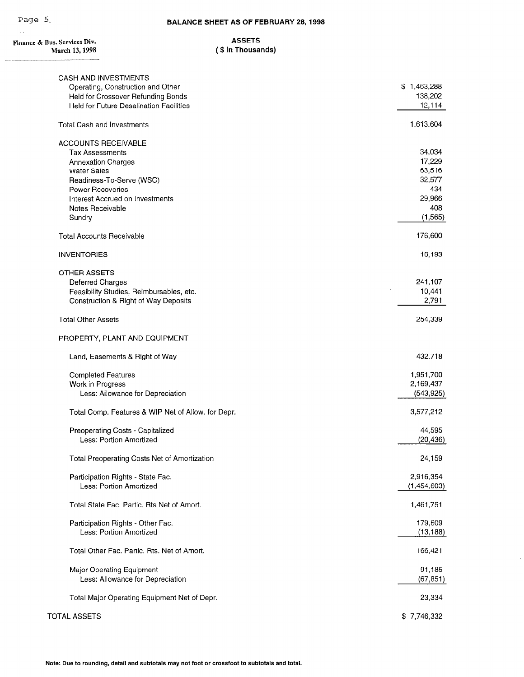$\hat{\mathcal{A}}$ 

 $\overline{a}$ 

| Finance & Bus. Services Div.<br>March 13, 1998     | <b>ASSETS</b><br>(\$ in Thousands) |             |
|----------------------------------------------------|------------------------------------|-------------|
|                                                    |                                    |             |
| CASH AND INVESTMENTS                               |                                    |             |
| Operating, Construction and Other                  |                                    | \$1,463,288 |
| Held for Crossover Refunding Bonds                 |                                    | 138,202     |
| <b>Held for Future Desalination Facilities</b>     |                                    | 12,114      |
| <b>Total Cash and Investments</b>                  |                                    | 1,613,604   |
| <b>ACCOUNTS RECEIVABLE</b>                         |                                    |             |
| <b>Tax Assessments</b>                             |                                    | 34,034      |
| <b>Annexation Charges</b>                          |                                    | 17,229      |
| <b>Water Sales</b>                                 |                                    | 63,516      |
| Readiness-To-Serve (WSC)                           |                                    | 32,577      |
| Power Recoveries                                   |                                    | 434         |
| Interest Accrued on Investments                    |                                    | 29,966      |
| Notes Receivable                                   |                                    | 408         |
| Sundry                                             |                                    | (1, 565)    |
| <b>Total Accounts Receivable</b>                   |                                    | 176,600     |
| <b>INVENTORIES</b>                                 |                                    | 16,193      |
| OTHER ASSETS                                       |                                    |             |
| Deferred Charges                                   |                                    | 241,107     |
| Feasibility Studies, Reimbursables, etc.           |                                    | 10,441      |
| Construction & Right of Way Deposits               |                                    | 2,791       |
| <b>Total Other Assets</b>                          |                                    | 254,339     |
| PROPERTY, PLANT AND EQUIPMENT                      |                                    |             |
| Land, Easements & Right of Way                     |                                    | 432,718     |
| <b>Completed Features</b>                          |                                    | 1,951,700   |
| Work in Progress                                   |                                    | 2,169,437   |
| Less: Allowance for Depreciation                   |                                    | (543, 925)  |
| Total Comp. Features & WIP Net of Allow. for Depr. |                                    | 3,577,212   |
| Preoperating Costs - Capitalized                   |                                    | 44,595      |
| Less: Portion Amortized                            |                                    | (20, 436)   |
| Total Preoperating Costs Net of Amortization       |                                    | 24,159      |
| Participation Rights - State Fac.                  |                                    | 2,916,354   |
| Less: Portion Amortized                            |                                    | (1,454,603) |
| Total State Fac. Partic. Rts Net of Amort.         |                                    | 1,461,751   |
| Participation Rights - Other Fac.                  |                                    | 179,609     |
| Less: Portion Amortized                            |                                    | (13, 188)   |
| Total Other Fac. Partic. Rts. Net of Amort.        |                                    | 166,421     |
| Major Operating Equipment                          |                                    | 91,185      |
| Less: Allowance for Depreciation                   |                                    | (67, 851)   |
|                                                    |                                    | 00.00       |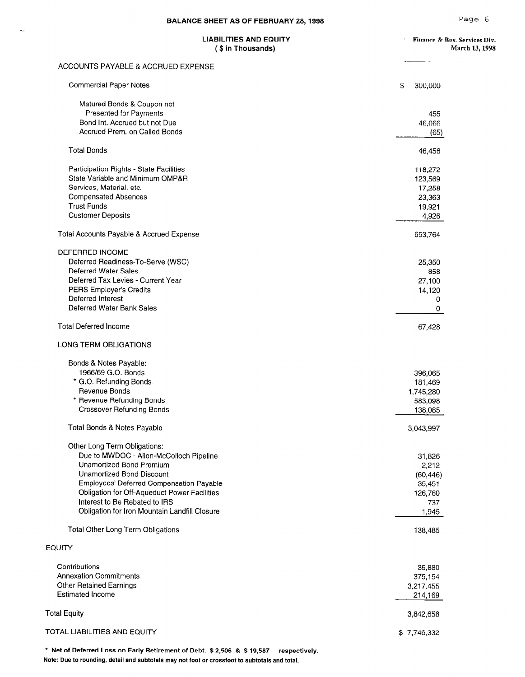$\overline{\phantom{a}}$ 

## LIABILITIES AND EQUITY<br>
(\$ in Thousands) Finance & Bus. Services Div.<br>
March 13, 1998

## (\$ in Thousands)

#### ACCOUNTS PAYABLE & ACCRUED EXPENSE

| <b>Commercial Paper Notes</b>                             | \$<br>300,000 |
|-----------------------------------------------------------|---------------|
| Matured Bonds & Coupon not                                |               |
| Presented for Payments                                    | 455           |
| Bond Int. Accrued but not Due                             | 46,066        |
| Accrued Prem. on Called Bonds                             | (65)          |
|                                                           |               |
| <b>Total Bonds</b>                                        | 46,456        |
| Participation Rights - State Facilities                   | 118,272       |
| State Variable and Minimum OMP&R                          | 123,569       |
| Services, Material, etc.                                  | 17,258        |
| <b>Compensated Absences</b>                               | 23,363        |
| <b>Trust Funds</b>                                        | 19,921        |
| <b>Customer Deposits</b>                                  | 4,926         |
| Total Accounts Payable & Accrued Expense                  | 653,764       |
| <b>DEFERRED INCOME</b>                                    |               |
| Deferred Readiness-To-Serve (WSC)                         | 25,350        |
| <b>Deferred Water Sales</b>                               | 858           |
| Deferred Tax Levies - Current Year                        | 27,100        |
| PERS Employer's Credits                                   | 14,120        |
| Deferred Interest                                         | 0             |
| Deferred Water Bank Sales                                 | 0             |
| <b>Total Deferred Income</b>                              | 67,428        |
| LONG TERM OBLIGATIONS                                     |               |
| Bonds & Notes Payable:                                    |               |
| 1966/69 G.O. Bonds                                        | 396,065       |
| * G.O. Refunding Bonds.                                   | 181,469       |
| Revenue Bonds                                             | 1,745,280     |
| * Revenue Refunding Bonds                                 | 583,098       |
| <b>Crossover Refunding Bonds</b>                          | 138,085       |
| Total Bonds & Notes Payable                               | 3,043,997     |
| Other Long Term Obligations:                              |               |
| Due to MWDOC - Allen-McColloch Pipeline                   | 31,826        |
| Unamortized Bond Premium                                  | 2,212         |
| Unamortized Bond Discount                                 | (60, 446)     |
| Employees' Deferred Compensation Payable                  | 35,451        |
| Obligation for Off-Aqueduct Power Facilities              | 126,760       |
| Interest to Be Rebated to IRS                             | 737           |
| Obligation for Iron Mountain Landfill Closure             | 1,945         |
| Total Other Long Term Obligations                         | 138,485       |
| <b>EQUITY</b>                                             |               |
|                                                           |               |
| Contributions                                             | 35,880        |
| <b>Annexation Commitments</b>                             | 375,154       |
| <b>Other Retained Earnings</b><br><b>Estimated Income</b> | 3,217,455     |
|                                                           | 214,169       |
| <b>Total Equity</b>                                       | 3,842,658     |
| TOTAL LIABILITIES AND EQUITY                              | \$7,746,332   |

\* Net of Deferred Loss on Early Retirement of Debt. \$2,506 & \$19,587 respectively. Note: Due to rounding, detail and subtotals may not foot or crossfoot to subtotals and total.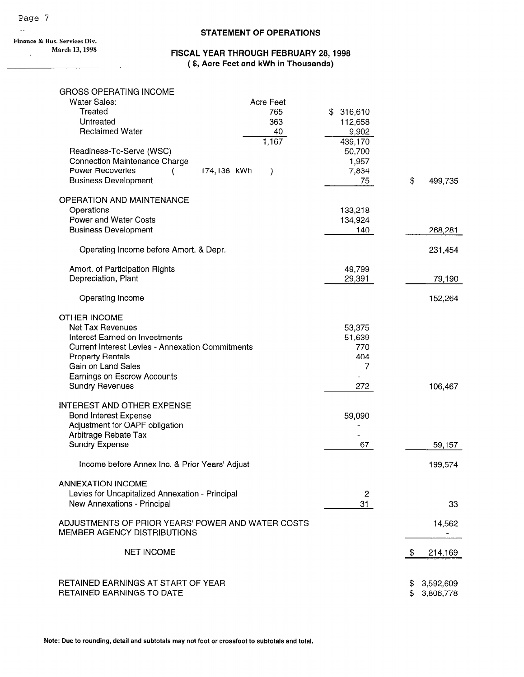#### STATEMENT OF OPERATIONS

Finance & Bus. Services Div. March 13,1998  $\bar{z}$ 

 $\overline{a}$ 

### FISCAL YEAR THROUGH FEBRUARY 28,1998 ( \$, Acre Feet and kWh in Thousands)

| <b>GROSS OPERATING INCOME</b>                                                  |                              |           |               |
|--------------------------------------------------------------------------------|------------------------------|-----------|---------------|
| <b>Water Sales:</b>                                                            | Acre Feet                    |           |               |
| Treated                                                                        | 765                          | \$316,610 |               |
| Untreated                                                                      | 363                          | 112,658   |               |
| <b>Reclaimed Water</b>                                                         | 40                           | 9,902     |               |
|                                                                                | 1,167                        | 439,170   |               |
| Readiness-To-Serve (WSC)                                                       |                              | 50,700    |               |
| Connection Maintenance Charge                                                  |                              | 1,957     |               |
| <b>Power Recoveries</b>                                                        | 174,138 kWh<br>$\mathcal{Y}$ | 7,834     |               |
| <b>Business Development</b>                                                    |                              | 75        | \$<br>499,735 |
|                                                                                |                              |           |               |
| <b>OPERATION AND MAINTENANCE</b>                                               |                              |           |               |
| Operations                                                                     |                              | 133,218   |               |
| Power and Water Costs                                                          |                              | 134,924   |               |
| <b>Business Development</b>                                                    |                              | 140       | 268,281       |
|                                                                                |                              |           |               |
| Operating Income before Amort. & Depr.                                         |                              |           | 231,454       |
|                                                                                |                              |           |               |
| Amort. of Participation Rights                                                 |                              | 49,799    |               |
| Depreciation, Plant                                                            |                              | 29,391    | 79,190        |
|                                                                                |                              |           |               |
| Operating Income                                                               |                              |           | 152,264       |
|                                                                                |                              |           |               |
| <b>OTHER INCOME</b>                                                            |                              |           |               |
| <b>Net Tax Revenues</b>                                                        |                              | 53,375    |               |
| Interest Earned on Investments                                                 |                              | 51,639    |               |
| <b>Current Interest Levies - Annexation Commitments</b>                        |                              | 770       |               |
| <b>Property Rentals</b>                                                        |                              | 404       |               |
| Gain on Land Sales                                                             |                              | 7         |               |
| Earnings on Escrow Accounts                                                    |                              |           |               |
| <b>Sundry Revenues</b>                                                         |                              | 272       | 106,467       |
|                                                                                |                              |           |               |
| <b>INTEREST AND OTHER EXPENSE</b>                                              |                              |           |               |
| <b>Bond Interest Expense</b>                                                   |                              | 59,090    |               |
| Adjustment for OAPF obligation                                                 |                              |           |               |
| Arbitrage Rebate Tax                                                           |                              |           |               |
| <b>Sundry Expense</b>                                                          |                              | 67        | 59,157        |
|                                                                                |                              |           |               |
| Income before Annex Inc. & Prior Years' Adjust                                 |                              |           | 199,574       |
| <b>ANNEXATION INCOME</b>                                                       |                              |           |               |
|                                                                                |                              |           |               |
| Levies for Uncapitalized Annexation - Principal<br>New Annexations - Principal |                              | 2         |               |
|                                                                                |                              | 31        | 33            |
| ADJUSTMENTS OF PRIOR YEARS' POWER AND WATER COSTS                              |                              |           | 14,562        |
| <b>MEMBER AGENCY DISTRIBUTIONS</b>                                             |                              |           |               |
|                                                                                |                              |           |               |
| <b>NET INCOME</b>                                                              |                              |           | \$<br>214,169 |
|                                                                                |                              |           |               |
|                                                                                |                              |           |               |
| RETAINED EARNINGS AT START OF YEAR                                             |                              |           | \$3,592,609   |
| <b>RETAINED EARNINGS TO DATE</b>                                               |                              |           | \$ 3,806,778  |
|                                                                                |                              |           |               |

\*.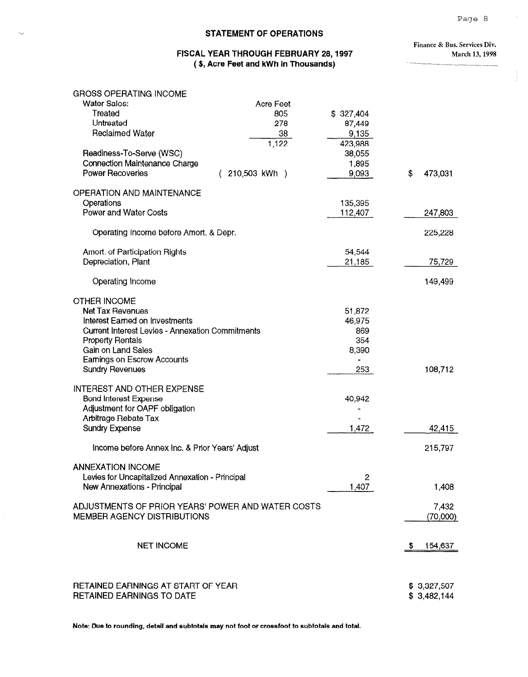#### Page 8

 $\sim$ 

ŧ.

#### $\sim$ . STATEMENT OF OPERATIONS

#### FISCAL YEAR THROUGH FEBRUARY 28,1997 ( \$, Acre Feet and kWh in Thousands)

Finance & Bus. Services Div. March 13,1998

| <b>Water Sales:</b><br><b>Acre Feet</b><br>Treated<br>805<br>\$327,404<br>Untreated<br>278<br>87,449<br><b>Reclaimed Water</b><br>9,135<br>38<br>1,122<br>423,988<br>Readiness-To-Serve (WSC)<br>38,055<br><b>Connection Maintenance Charge</b><br>1,895<br>Power Recoveries<br>210,503 kWh )<br>9,093<br>\$<br>OPERATION AND MAINTENANCE<br>Operations<br>135,395<br>Power and Water Costs<br>112,407<br>247,803<br>Operating Income before Amort. & Depr.<br>Amort. of Participation Rights<br>54,544<br>Depreciation, Plant<br>21,185<br>Operating Income<br><b>OTHER INCOME</b><br>Net Tax Revenues<br>51,872<br>Interest Earned on Investments<br>46,975<br><b>Current Interest Levies - Annexation Commitments</b><br>869<br>354<br><b>Property Rentals</b><br>Gain on Land Sales<br>8,390<br>Earnings on Escrow Accounts<br><b>Sundry Revenues</b><br>253<br>INTEREST AND OTHER EXPENSE<br><b>Bond Interest Expense</b><br>40,942<br>Adjustment for OAPF obligation<br>Arbitrage Rebate Tax<br><b>Sundry Expense</b><br>1,472<br>Income before Annex Inc. & Prior Years' Adjust<br>215,797<br><b>ANNEXATION INCOME</b><br>Levies for Uncapitalized Annexation - Principal<br>$\overline{2}$<br>1,407<br>New Annexations - Principal<br>1,408<br>ADJUSTMENTS OF PRIOR YEARS' POWER AND WATER COSTS<br>MEMBER AGENCY DISTRIBUTIONS<br><b>NET INCOME</b><br>-56<br>RETAINED EARNINGS AT START OF YEAR | <b>GROSS OPERATING INCOME</b>    |  |                            |
|-----------------------------------------------------------------------------------------------------------------------------------------------------------------------------------------------------------------------------------------------------------------------------------------------------------------------------------------------------------------------------------------------------------------------------------------------------------------------------------------------------------------------------------------------------------------------------------------------------------------------------------------------------------------------------------------------------------------------------------------------------------------------------------------------------------------------------------------------------------------------------------------------------------------------------------------------------------------------------------------------------------------------------------------------------------------------------------------------------------------------------------------------------------------------------------------------------------------------------------------------------------------------------------------------------------------------------------------------------------------------------------------------------------|----------------------------------|--|----------------------------|
|                                                                                                                                                                                                                                                                                                                                                                                                                                                                                                                                                                                                                                                                                                                                                                                                                                                                                                                                                                                                                                                                                                                                                                                                                                                                                                                                                                                                           |                                  |  |                            |
|                                                                                                                                                                                                                                                                                                                                                                                                                                                                                                                                                                                                                                                                                                                                                                                                                                                                                                                                                                                                                                                                                                                                                                                                                                                                                                                                                                                                           |                                  |  |                            |
|                                                                                                                                                                                                                                                                                                                                                                                                                                                                                                                                                                                                                                                                                                                                                                                                                                                                                                                                                                                                                                                                                                                                                                                                                                                                                                                                                                                                           |                                  |  |                            |
|                                                                                                                                                                                                                                                                                                                                                                                                                                                                                                                                                                                                                                                                                                                                                                                                                                                                                                                                                                                                                                                                                                                                                                                                                                                                                                                                                                                                           |                                  |  |                            |
|                                                                                                                                                                                                                                                                                                                                                                                                                                                                                                                                                                                                                                                                                                                                                                                                                                                                                                                                                                                                                                                                                                                                                                                                                                                                                                                                                                                                           |                                  |  |                            |
|                                                                                                                                                                                                                                                                                                                                                                                                                                                                                                                                                                                                                                                                                                                                                                                                                                                                                                                                                                                                                                                                                                                                                                                                                                                                                                                                                                                                           |                                  |  |                            |
|                                                                                                                                                                                                                                                                                                                                                                                                                                                                                                                                                                                                                                                                                                                                                                                                                                                                                                                                                                                                                                                                                                                                                                                                                                                                                                                                                                                                           |                                  |  |                            |
|                                                                                                                                                                                                                                                                                                                                                                                                                                                                                                                                                                                                                                                                                                                                                                                                                                                                                                                                                                                                                                                                                                                                                                                                                                                                                                                                                                                                           |                                  |  | 473,031                    |
|                                                                                                                                                                                                                                                                                                                                                                                                                                                                                                                                                                                                                                                                                                                                                                                                                                                                                                                                                                                                                                                                                                                                                                                                                                                                                                                                                                                                           |                                  |  |                            |
|                                                                                                                                                                                                                                                                                                                                                                                                                                                                                                                                                                                                                                                                                                                                                                                                                                                                                                                                                                                                                                                                                                                                                                                                                                                                                                                                                                                                           |                                  |  |                            |
|                                                                                                                                                                                                                                                                                                                                                                                                                                                                                                                                                                                                                                                                                                                                                                                                                                                                                                                                                                                                                                                                                                                                                                                                                                                                                                                                                                                                           |                                  |  |                            |
|                                                                                                                                                                                                                                                                                                                                                                                                                                                                                                                                                                                                                                                                                                                                                                                                                                                                                                                                                                                                                                                                                                                                                                                                                                                                                                                                                                                                           |                                  |  |                            |
|                                                                                                                                                                                                                                                                                                                                                                                                                                                                                                                                                                                                                                                                                                                                                                                                                                                                                                                                                                                                                                                                                                                                                                                                                                                                                                                                                                                                           |                                  |  | 225,228                    |
|                                                                                                                                                                                                                                                                                                                                                                                                                                                                                                                                                                                                                                                                                                                                                                                                                                                                                                                                                                                                                                                                                                                                                                                                                                                                                                                                                                                                           |                                  |  |                            |
|                                                                                                                                                                                                                                                                                                                                                                                                                                                                                                                                                                                                                                                                                                                                                                                                                                                                                                                                                                                                                                                                                                                                                                                                                                                                                                                                                                                                           |                                  |  | 75,729                     |
|                                                                                                                                                                                                                                                                                                                                                                                                                                                                                                                                                                                                                                                                                                                                                                                                                                                                                                                                                                                                                                                                                                                                                                                                                                                                                                                                                                                                           |                                  |  | 149,499                    |
|                                                                                                                                                                                                                                                                                                                                                                                                                                                                                                                                                                                                                                                                                                                                                                                                                                                                                                                                                                                                                                                                                                                                                                                                                                                                                                                                                                                                           |                                  |  |                            |
|                                                                                                                                                                                                                                                                                                                                                                                                                                                                                                                                                                                                                                                                                                                                                                                                                                                                                                                                                                                                                                                                                                                                                                                                                                                                                                                                                                                                           |                                  |  |                            |
|                                                                                                                                                                                                                                                                                                                                                                                                                                                                                                                                                                                                                                                                                                                                                                                                                                                                                                                                                                                                                                                                                                                                                                                                                                                                                                                                                                                                           |                                  |  |                            |
|                                                                                                                                                                                                                                                                                                                                                                                                                                                                                                                                                                                                                                                                                                                                                                                                                                                                                                                                                                                                                                                                                                                                                                                                                                                                                                                                                                                                           |                                  |  |                            |
|                                                                                                                                                                                                                                                                                                                                                                                                                                                                                                                                                                                                                                                                                                                                                                                                                                                                                                                                                                                                                                                                                                                                                                                                                                                                                                                                                                                                           |                                  |  |                            |
|                                                                                                                                                                                                                                                                                                                                                                                                                                                                                                                                                                                                                                                                                                                                                                                                                                                                                                                                                                                                                                                                                                                                                                                                                                                                                                                                                                                                           |                                  |  |                            |
|                                                                                                                                                                                                                                                                                                                                                                                                                                                                                                                                                                                                                                                                                                                                                                                                                                                                                                                                                                                                                                                                                                                                                                                                                                                                                                                                                                                                           |                                  |  |                            |
|                                                                                                                                                                                                                                                                                                                                                                                                                                                                                                                                                                                                                                                                                                                                                                                                                                                                                                                                                                                                                                                                                                                                                                                                                                                                                                                                                                                                           |                                  |  | 108,712                    |
|                                                                                                                                                                                                                                                                                                                                                                                                                                                                                                                                                                                                                                                                                                                                                                                                                                                                                                                                                                                                                                                                                                                                                                                                                                                                                                                                                                                                           |                                  |  |                            |
|                                                                                                                                                                                                                                                                                                                                                                                                                                                                                                                                                                                                                                                                                                                                                                                                                                                                                                                                                                                                                                                                                                                                                                                                                                                                                                                                                                                                           |                                  |  |                            |
|                                                                                                                                                                                                                                                                                                                                                                                                                                                                                                                                                                                                                                                                                                                                                                                                                                                                                                                                                                                                                                                                                                                                                                                                                                                                                                                                                                                                           |                                  |  |                            |
|                                                                                                                                                                                                                                                                                                                                                                                                                                                                                                                                                                                                                                                                                                                                                                                                                                                                                                                                                                                                                                                                                                                                                                                                                                                                                                                                                                                                           |                                  |  |                            |
|                                                                                                                                                                                                                                                                                                                                                                                                                                                                                                                                                                                                                                                                                                                                                                                                                                                                                                                                                                                                                                                                                                                                                                                                                                                                                                                                                                                                           |                                  |  | 42,415                     |
|                                                                                                                                                                                                                                                                                                                                                                                                                                                                                                                                                                                                                                                                                                                                                                                                                                                                                                                                                                                                                                                                                                                                                                                                                                                                                                                                                                                                           |                                  |  |                            |
|                                                                                                                                                                                                                                                                                                                                                                                                                                                                                                                                                                                                                                                                                                                                                                                                                                                                                                                                                                                                                                                                                                                                                                                                                                                                                                                                                                                                           |                                  |  |                            |
|                                                                                                                                                                                                                                                                                                                                                                                                                                                                                                                                                                                                                                                                                                                                                                                                                                                                                                                                                                                                                                                                                                                                                                                                                                                                                                                                                                                                           |                                  |  |                            |
|                                                                                                                                                                                                                                                                                                                                                                                                                                                                                                                                                                                                                                                                                                                                                                                                                                                                                                                                                                                                                                                                                                                                                                                                                                                                                                                                                                                                           |                                  |  |                            |
|                                                                                                                                                                                                                                                                                                                                                                                                                                                                                                                                                                                                                                                                                                                                                                                                                                                                                                                                                                                                                                                                                                                                                                                                                                                                                                                                                                                                           |                                  |  |                            |
|                                                                                                                                                                                                                                                                                                                                                                                                                                                                                                                                                                                                                                                                                                                                                                                                                                                                                                                                                                                                                                                                                                                                                                                                                                                                                                                                                                                                           |                                  |  | 7,432                      |
|                                                                                                                                                                                                                                                                                                                                                                                                                                                                                                                                                                                                                                                                                                                                                                                                                                                                                                                                                                                                                                                                                                                                                                                                                                                                                                                                                                                                           |                                  |  | (70,000)                   |
|                                                                                                                                                                                                                                                                                                                                                                                                                                                                                                                                                                                                                                                                                                                                                                                                                                                                                                                                                                                                                                                                                                                                                                                                                                                                                                                                                                                                           |                                  |  | 154,637                    |
|                                                                                                                                                                                                                                                                                                                                                                                                                                                                                                                                                                                                                                                                                                                                                                                                                                                                                                                                                                                                                                                                                                                                                                                                                                                                                                                                                                                                           | <b>RETAINED EARNINGS TO DATE</b> |  | \$3,327,507<br>\$3,482,144 |

Note: Due to rounding, detail and subtotals may not foot or crossfoot to subtotals and total.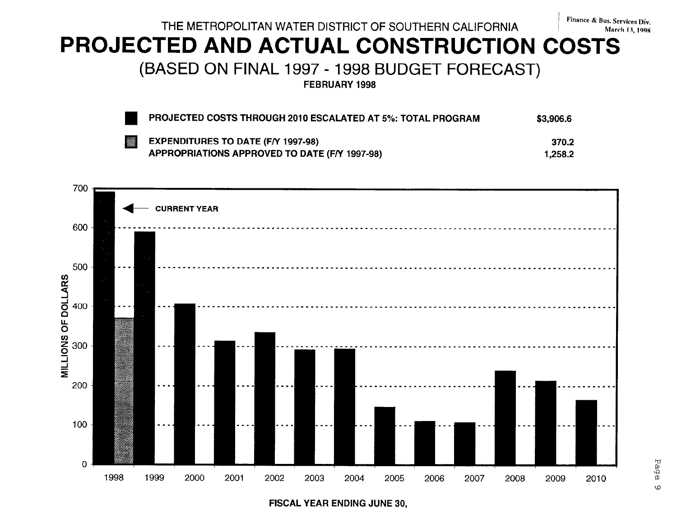# THE METROPOLITAN WATER DISTRICT OF SOUTHERN CALIFORNIA Finance & Bus. Services Div.

# PROJECTED AND ACTUAL CONSTRUCTION COSTS

(BASED ON FINAL 1997 - 1998 BUDGET FORECAST)

FEBRUARY 1998

|   | PROJECTED COSTS THROUGH 2010 ESCALATED AT 5%: TOTAL PROGRAM | \$3,906.6 |
|---|-------------------------------------------------------------|-----------|
| 羉 | <b>EXPENDITURES TO DATE (F/Y 1997-98)</b>                   | 370.2     |
|   | APPROPRIATIONS APPROVED TO DATE (F/Y 1997-98)               | 1.258.2   |



FISCAL YEAR ENDING JUNE 30,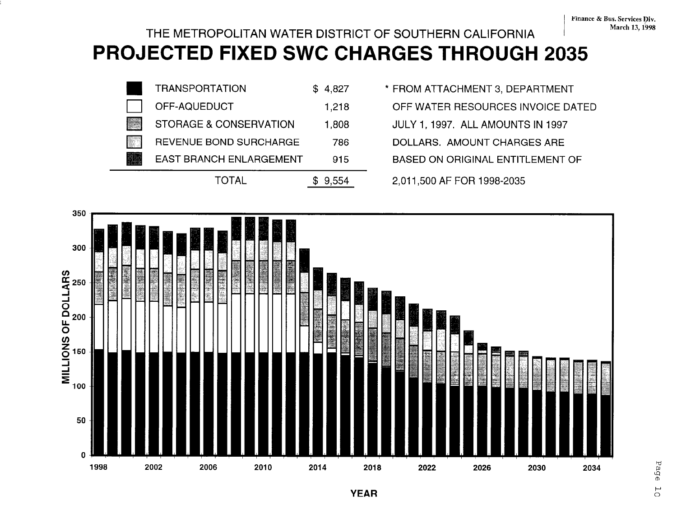# THE METROPOLITAN WATER DISTRICT OF SOUTHERN CALIFORNIA MARCH 13, 1998 PROJECTED FIXED SWC CHARGES THROUGH 2035



n TRANSPORTATION \$ 4,827 \* FROM ATTACHMENT 3, DEPARTMENT OFF-AQUEDUCT 1,218 OFF WATER RESOURCES INVOICE DATED EAST BRANCH ENLARGEMENT 915 BASED ON ORIGINAL ENTITLEMENT OF

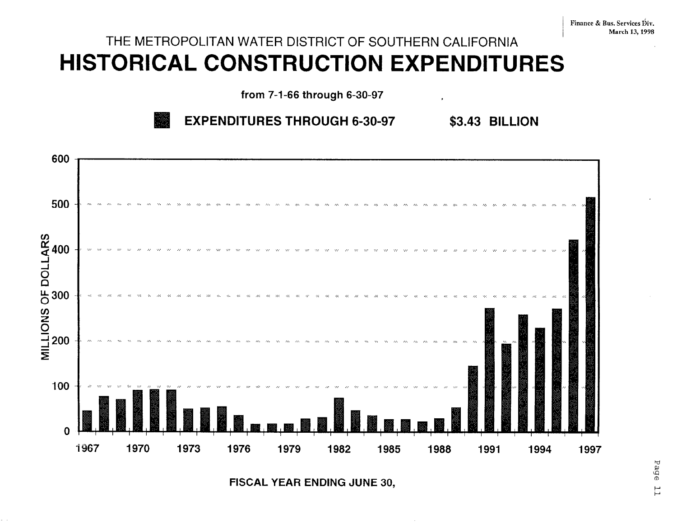# THE METROPOLITAN WATER DISTRICT OF SOUTHERN CALIFORNIA HISTORICAL CONSTRUCTION EXPENDITURES

from 7-1-66 through 6-30-97





**FISCAL YEAR ENDING JUNE 30.**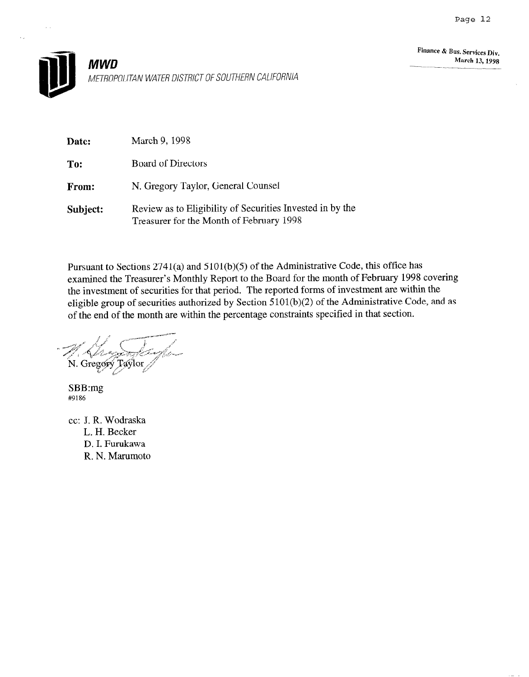

| Date:        | March 9, 1998                                                                                         |
|--------------|-------------------------------------------------------------------------------------------------------|
| To:          | <b>Board of Directors</b>                                                                             |
| <b>From:</b> | N. Gregory Taylor, General Counsel                                                                    |
| Subject:     | Review as to Eligibility of Securities Invested in by the<br>Treasurer for the Month of February 1998 |

Pursuant to Sections 2741(a) and 5101(b)(5) of the Administrative Code, this office has examined the Treasurer's Monthly Report to the Board for the month of February 1998 covering the investment of securities for that period. The reported forms of investment are within the eligible group of securities authorized by Section 5101(b)(2) of the Administrative Code, and as of the end of the month are within the percentage constraints specified in that section.

N. Gregory Taylor

SBB:mg #9186

cc: J. R. Wodraska L. H. Becker D. I. Furukawa R. N. Marumoto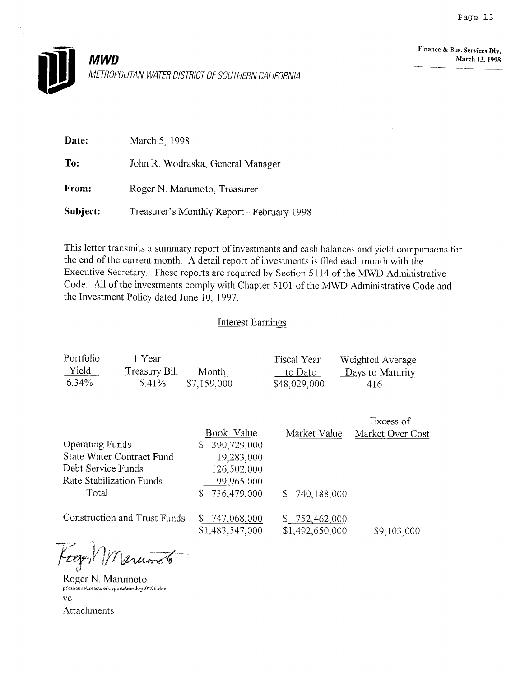

| Date:    | March 5, 1998                              |
|----------|--------------------------------------------|
| To:      | John R. Wodraska, General Manager          |
| From:    | Roger N. Marumoto, Treasurer               |
| Subject: | Treasurer's Monthly Report - February 1998 |

This letter transmits a summary report of investments and cash balances and yield comparisons for the end of the current month. A detail report of investments is filed each month with the Executive Secretary. These reports are required by Section 5 114 of the MWD Administrative Code. All of the investments comply with Chapter 5 101 of the MWD Administrative Code and the Investment Policy dated June 10, 1997.

### Interest Earnings

| Portfolio | 1 Year        |             | Fiscal Year  | Weighted Average |
|-----------|---------------|-------------|--------------|------------------|
| Yield     | Treasury Bill | Month       | to Date      | Days to Maturity |
| 6.34%     | 5.41%         | \$7,159,000 | \$48,029,000 | 416              |

|                                  |                                     |                                  | Excess of        |
|----------------------------------|-------------------------------------|----------------------------------|------------------|
|                                  | Book Value                          | Market Value                     | Market Over Cost |
| <b>Operating Funds</b>           | 390,729,000<br>S                    |                                  |                  |
| <b>State Water Contract Fund</b> | 19,283,000                          |                                  |                  |
| Debt Service Funds               | 126,502,000                         |                                  |                  |
| Rate Stabilization Funds         | 199,965,000                         |                                  |                  |
| Total                            | 736,479,000<br>S                    | 740,188,000<br>S.                |                  |
| Construction and Trust Funds     | S<br>747,068,000<br>\$1,483,547,000 | \$752,462,000<br>\$1,492,650,000 | \$9,103,000      |

Fogen premoto

Roger N. Marumoto p:\finance\treasurer\reports\mnthrpt0298.doc YC Attachments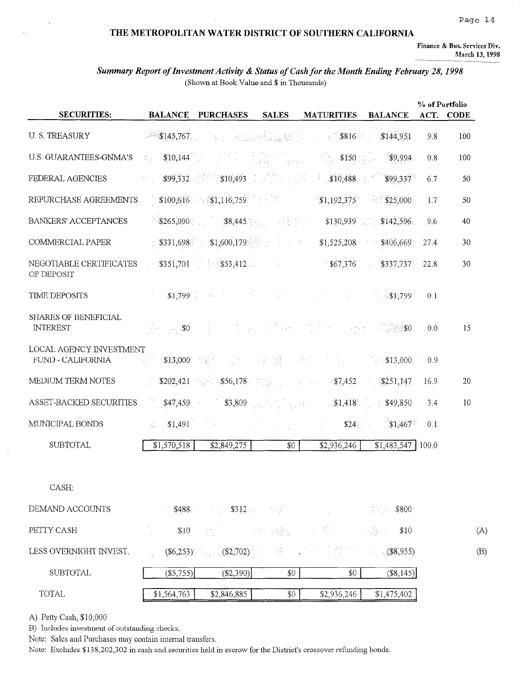#### Page 14

#### THE METROPOLITAN WATER DISTRICT OF SOUTHERN CALIFORNIA

Finance & Bus. Services Div. March 13, 1998

### Summary Report of Investment Activity & Status of Cash for the Month Ending February 28, 1998 (Shown at Book Value and \$ in Thousands)

| <b>SECURITIES:</b>                             |                         | <b>BALANCE PURCHASES SALES</b>                                    |     | <b>MATURITIES BALANCE</b>                                                                                                                                                                                                                                                                                                                        |                         |      | % of Portfolio<br>ACT. CODE |
|------------------------------------------------|-------------------------|-------------------------------------------------------------------|-----|--------------------------------------------------------------------------------------------------------------------------------------------------------------------------------------------------------------------------------------------------------------------------------------------------------------------------------------------------|-------------------------|------|-----------------------------|
| <b>U.S. TREASURY</b>                           | 3145,767                |                                                                   |     | - 「 <sub>The S</sub> out of English Research State State State State State State State State State State State State State S                                                                                                                                                                                                                     |                         | 9.8  | 100                         |
| U.S. GUARANTEES-GNMA'S                         | $\mathbb{G}_{\geq 0}$ . | $$10,144$ and $$10,144$ and $$10,144$ and $$10,144$ and $$10,144$ |     | $\sim$ \$150                                                                                                                                                                                                                                                                                                                                     | \$9,994                 | 0.8  | 100                         |
| FEDERAL AGENCIES                               | $\sigma_{\rm{eff}}$ .   |                                                                   |     | $\textbf{399,332} \hspace{0.1in} \textbf{310,488} \hspace{0.1in} \textbf{310,493} \hspace{0.1in} \textbf{310,488} \hspace{0.1in} \textbf{310,488} \hspace{0.1in} \textbf{310,488} \hspace{0.1in} \textbf{310,488} \hspace{0.1in} \textbf{310,488} \hspace{0.1in} \textbf{310,488} \hspace{0.1in} \textbf{310,488} \hspace{0.1in} \textbf{310,48$ | \$99,337                | 6.7  | 50                          |
| REPURCHASE AGREEMENTS                          |                         | $$100,616$ and $$1,116,759$ and $$1,116$                          |     | \$1,192,375                                                                                                                                                                                                                                                                                                                                      | $\sim$ \$25,000         | 1.7  | 50                          |
| <b>BANKERS' ACCEPTANCES</b>                    |                         |                                                                   |     |                                                                                                                                                                                                                                                                                                                                                  |                         | 9.6  | 40                          |
| COMMERCIAL PAPER                               |                         |                                                                   |     | $\pm$ \$331,698 \$1,600,179 $\pm$ 1 $\pm$ 51,525,208 $\pm$ \$406,669                                                                                                                                                                                                                                                                             |                         | 27.4 | 30                          |
| NEGOTIABLE CERTIFICATES<br>OF DEPOSIT          |                         |                                                                   |     | $$351,701$ $$53,412$ $$53,12$ $$67,376$                                                                                                                                                                                                                                                                                                          | \$337,737<br>$\sim 100$ | 22.8 | 30                          |
| <b>TIME DEPOSITS</b>                           |                         |                                                                   |     | $$1,799$ $$31,799$                                                                                                                                                                                                                                                                                                                               |                         | 0.1  |                             |
| <b>SHARES OF BENEFICIAL</b><br><b>INTEREST</b> |                         |                                                                   |     | The posses of the company of the company of the second property of the second property of the second property of the second property of the second property of the second property of the second property of the second proper                                                                                                                   |                         | 0.0  | 15                          |
| LOCAL AGENCY INVESTMENT<br>FUND - CALIFORNIA   |                         |                                                                   |     | - 2011년 <b>\$13,000</b> 발표 - 1206년 동안 별 - 1월, 1006년 1월, 1006년 <b>\$13,000</b> .                                                                                                                                                                                                                                                                  |                         | 0.9  |                             |
| MEDIUM TERM NOTES                              |                         |                                                                   |     | $$202,421$ $$56,178$ $$1.11$ $$56,178$ $$1.11$ $$7,452$ $$251,147$                                                                                                                                                                                                                                                                               |                         | 16.9 | 20                          |
| ASSET-BACKED SECURITIES                        |                         |                                                                   |     | <b>347,459 33,809 33,809 31,418 349,850</b>                                                                                                                                                                                                                                                                                                      |                         | 3.4  | 10                          |
| MUNICIPAL BONDS                                |                         | $\mathbb{S}1.491$                                                 |     | \$24                                                                                                                                                                                                                                                                                                                                             | \$1,467                 | 0.1  |                             |
| <b>SUBTOTAL</b>                                | \$1,570,518             | $\overline{82,849,275}$                                           | \$0 | \$2,936,246                                                                                                                                                                                                                                                                                                                                      | $$1,483,547$   100.0    |      |                             |
| CASH:                                          |                         |                                                                   |     |                                                                                                                                                                                                                                                                                                                                                  |                         |      |                             |
| DEMAND ACCOUNTS                                |                         | $$488$ $$312$ $$312$                                              |     |                                                                                                                                                                                                                                                                                                                                                  | $$800 \,$               |      |                             |
| PETTY CASH                                     | \$10                    |                                                                   |     | " 我们 2000年4月最近, 4月程 - 2001最大                                                                                                                                                                                                                                                                                                                     | \$10                    |      | (A)                         |
| LESS OVERNIGHT INVEST.                         |                         |                                                                   |     | $(\$6,253)$ (\$2,702) (38,955)                                                                                                                                                                                                                                                                                                                   |                         |      | (B)                         |
| <b>SUBTOTAL</b>                                | $($ \$5,755) $ $        | ( \$2,390)                                                        | \$0 | \$0                                                                                                                                                                                                                                                                                                                                              | $($ \$8,145 $)$         |      |                             |
| TOTAL                                          | \$1,564,763             | \$2,846,885                                                       | \$0 | \$2,936,246                                                                                                                                                                                                                                                                                                                                      | \$1,475,402             |      |                             |

A) Petty Cash, \$10,000

 $\ddot{\phantom{a}}$ 

 $\lambda_{\rm in}$ 

B) Includes investment of outstanding checks.

Note: Sales and Purchases may contain internal transfers.

Note: Excludes \$138,202,302 in cash and securities held in escrow for the District's crossover refunding bonds.